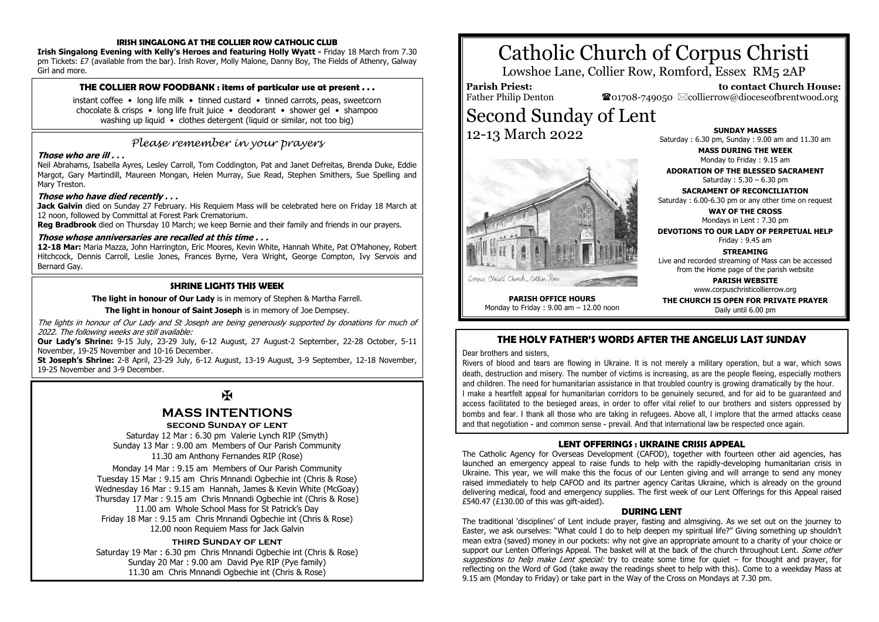## **IRISH SINGALONG AT THE COLLIER ROW CATHOLIC CLUB**

**Irish Singalong Evening with Kelly's Heroes and featuring Holly Wyatt -** Friday 18 March from 7.30 pm Tickets: £7 (available from the bar). Irish Rover, Molly Malone, Danny Boy, The Fields of Athenry, Galway Girl and more.

#### **THE COLLIER ROW FOODBANK : items of particular use at present . . .**

instant coffee • long life milk • tinned custard • tinned carrots, peas, sweetcorn chocolate & crisps • long life fruit juice • deodorant • shower gel • shampoo washing up liquid • clothes detergent (liquid or similar, not too big)

# *Please remember in your prayers*

#### **Those who are ill . . .**

Neil Abrahams, Isabella Ayres, Lesley Carroll, Tom Coddington, Pat and Janet Defreitas, Brenda Duke, Eddie Margot, Gary Martindill, Maureen Mongan, Helen Murray, Sue Read, Stephen Smithers, Sue Spelling and Mary Treston.

#### **Those who have died recently . . .**

**Jack Galvin** died on Sunday 27 February. His Requiem Mass will be celebrated here on Friday 18 March at 12 noon, followed by Committal at Forest Park Crematorium.

**Reg Bradbrook** died on Thursday 10 March; we keep Bernie and their family and friends in our prayers.

#### **Those whose anniversaries are recalled at this time . . .**

**12-18 Mar:** Maria Mazza, John Harrington, Eric Moores, Kevin White, Hannah White, Pat O'Mahoney, Robert Hitchcock, Dennis Carroll, Leslie Jones, Frances Byrne, Vera Wright, George Compton, Ivy Servois and Bernard Gay.

#### **SHRINE LIGHTS THIS WEEK**

**The light in honour of Our Lady** is in memory of Stephen & Martha Farrell.

**The light in honour of Saint Joseph** is in memory of Joe Dempsey.

The lights in honour of Our Lady and St Joseph are being generously supported by donations for much of 2022. The following weeks are still available:

**Our Lady's Shrine:** 9-15 July, 23-29 July, 6-12 August, 27 August-2 September, 22-28 October, 5-11 November, 19-25 November and 10-16 December.

**St Joseph's Shrine:** 2-8 April, 23-29 July, 6-12 August, 13-19 August, 3-9 September, 12-18 November, 19-25 November and 3-9 December.

# $\mathbf F$

# **MASS INTENTIONS**

## **second Sunday of lent**

Saturday 12 Mar : 6.30 pm Valerie Lynch RIP (Smyth) Sunday 13 Mar : 9.00 am Members of Our Parish Community 11.30 am Anthony Fernandes RIP (Rose)

Monday 14 Mar : 9.15 am Members of Our Parish Community Tuesday 15 Mar : 9.15 am Chris Mnnandi Ogbechie int (Chris & Rose) Wednesday 16 Mar : 9.15 am Hannah, James & Kevin White (McGoay) Thursday 17 Mar : 9.15 am Chris Mnnandi Ogbechie int (Chris & Rose) 11.00 am Whole School Mass for St Patrick's Day Friday 18 Mar : 9.15 am Chris Mnnandi Ogbechie int (Chris & Rose) 12.00 noon Requiem Mass for Jack Galvin

#### **third Sunday of lent**

Saturday 19 Mar : 6.30 pm Chris Mnnandi Ogbechie int (Chris & Rose) Sunday 20 Mar : 9.00 am David Pye RIP (Pye family) 11.30 am Chris Mnnandi Ogbechie int (Chris & Rose)

# Catholic Church of Corpus Christi

Lowshoe Lane, Collier Row, Romford, Essex RM5 2AP

#### **Parish Priest:** Father Philip Denton

12-13 March 2022

 **to contact Church House:**  $\bullet$ 01708-749050  $\boxtimes$ collierrow@dioceseofbrentwood.org Second Sunday of Lent

**SUNDAY MASSES** Saturday : 6.30 pm, Sunday : 9.00 am and 11.30 am

> **MASS DURING THE WEEK** Monday to Friday : 9.15 am

**ADORATION OF THE BLESSED SACRAMENT** Saturday : 5.30 – 6.30 pm

**SACRAMENT OF RECONCILIATION** Saturday : 6.00-6.30 pm or any other time on request

> **WAY OF THE CROSS** Mondays in Lent : 7.30 pm

**DEVOTIONS TO OUR LADY OF PERPETUAL HELP** Friday : 9.45 am

# **STREAMING**

Live and recorded streaming of Mass can be accessed from the Home page of the parish website

> **PARISH WEBSITE** www.corpuschristicollierrow.org

**THE CHURCH IS OPEN FOR PRIVATE PRAYER** Daily until 6.00 pm

# **THE HOLY FATHER'S WORDS AFTER THE ANGELUS LAST SUNDAY**

Dear brothers and sisters,

Rivers of blood and tears are flowing in Ukraine. It is not merely a military operation, but a war, which sows death, destruction and misery. The number of victims is increasing, as are the people fleeing, especially mothers and children. The need for humanitarian assistance in that troubled country is growing dramatically by the hour. I make a heartfelt appeal for humanitarian corridors to be genuinely secured, and for aid to be guaranteed and access facilitated to the besieged areas, in order to offer vital relief to our brothers and sisters oppressed by bombs and fear. I thank all those who are taking in refugees. Above all, I implore that the armed attacks cease and that negotiation - and common sense - prevail. And that international law be respected once again.

#### **LENT OFFERINGS : UKRAINE CRISIS APPEAL**

The Catholic Agency for Overseas Development (CAFOD), together with fourteen other aid agencies, has launched an emergency appeal to raise funds to help with the rapidly-developing humanitarian crisis in Ukraine. This year, we will make this the focus of our Lenten giving and will arrange to send any money raised immediately to help CAFOD and its partner agency Caritas Ukraine, which is already on the ground delivering medical, food and emergency supplies. The first week of our Lent Offerings for this Appeal raised £540.47 (£130.00 of this was gift-aided).

#### **DURING LENT**

The traditional 'disciplines' of Lent include prayer, fasting and almsgiving. As we set out on the journey to Easter, we ask ourselves: "What could I do to help deepen my spiritual life?" Giving something up shouldn't mean extra (saved) money in our pockets: why not give an appropriate amount to a charity of your choice or support our Lenten Offerings Appeal. The basket will at the back of the church throughout Lent. Some other suggestions to help make Lent special: try to create some time for quiet  $-$  for thought and prayer, for reflecting on the Word of God (take away the readings sheet to help with this). Come to a weekday Mass at 9.15 am (Monday to Friday) or take part in the Way of the Cross on Mondays at 7.30 pm.



Corner Christi Church, Collier Row **PARISH OFFICE HOURS**

Monday to Friday : 9.00 am – 12.00 noon